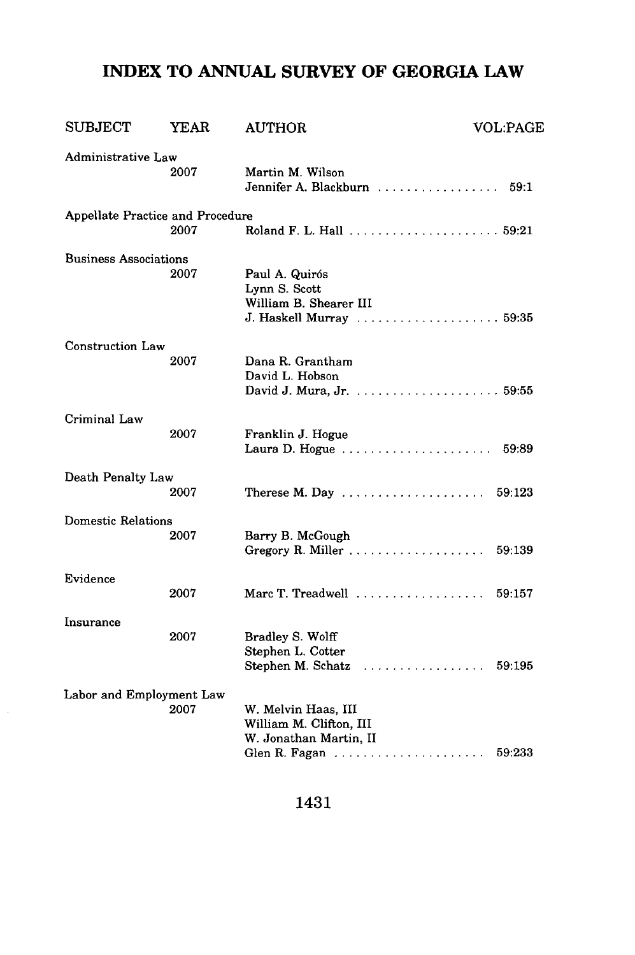## **INDEX TO ANNUAL SURVEY OF GEORGIA LAW**

| <b>SUBJECT</b>                   | YEAR | <b>AUTHOR</b>                                                                                   | <b>VOL:PAGE</b> |
|----------------------------------|------|-------------------------------------------------------------------------------------------------|-----------------|
| Administrative Law               | 2007 | Martin M. Wilson<br>Jennifer A. Blackburn $\ldots \ldots \ldots \ldots$                         | 59:1            |
| Appellate Practice and Procedure | 2007 |                                                                                                 |                 |
| <b>Business Associations</b>     | 2007 | Paul A. Quirós<br>Lynn S. Scott<br>William B. Shearer III<br>J. Haskell Murray  59:35           |                 |
| Construction Law                 | 2007 | Dana R. Grantham<br>David L. Hobson                                                             |                 |
| Criminal Law                     | 2007 | Franklin J. Hogue<br>Laura D. Hogue                                                             | 59:89           |
| Death Penalty Law                | 2007 | Therese M. Day $\ldots \ldots \ldots \ldots \ldots$                                             | 59:123          |
| <b>Domestic Relations</b>        | 2007 | Barry B. McGough                                                                                | 59:139          |
| Evidence                         | 2007 | Marc T. Treadwell $\ldots$ , $\ldots$                                                           | 59:157          |
| Insurance                        | 2007 | Bradley S. Wolff<br>Stephen L. Cotter<br>Stephen M. Schatz $\ldots \ldots \ldots \ldots \ldots$ | 59:195          |
| Labor and Employment Law         | 2007 | W. Melvin Haas, III<br>William M. Clifton, III<br>W. Jonathan Martin, II                        | 59:233          |